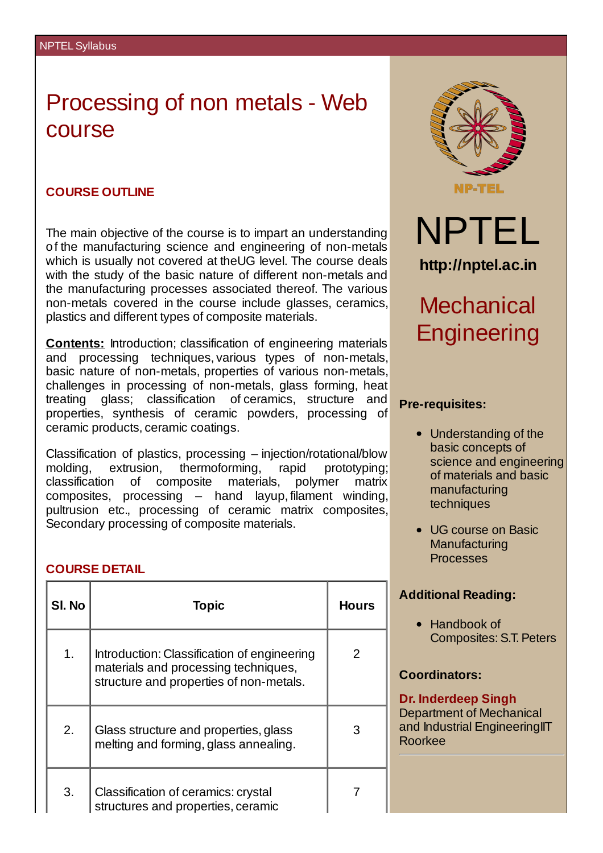# Processing of non metals - Web course

### **COURSE OUTLINE**

The main objective of the course is to impart an understanding of the manufacturing science and engineering of non-metals which is usually not covered at theUG level. The course deals with the study of the basic nature of different non-metals and the manufacturing processes associated thereof. The various non-metals covered in the course include glasses, ceramics, plastics and different types of composite materials.

**Contents:** Introduction; classification of engineering materials and processing techniques, various types of non-metals, basic nature of non-metals, properties of various non-metals, challenges in processing of non-metals, glass forming, heat treating glass; classification of ceramics, structure and properties, synthesis of ceramic powders, processing of ceramic products, ceramic coatings.

Classification of plastics, processing – injection/rotational/blow molding, extrusion, thermoforming, rapid prototyping; classification of composite materials, polymer matrix composites, processing – hand layup, filament winding, pultrusion etc., processing of ceramic matrix composites, Secondary processing of composite materials.

#### **COURSE DETAIL**

| SI. No | <b>Topic</b>                                                                                                                   | <b>Hours</b> |
|--------|--------------------------------------------------------------------------------------------------------------------------------|--------------|
| 1.     | Introduction: Classification of engineering<br>materials and processing techniques,<br>structure and properties of non-metals. | 2            |
| 2.     | Glass structure and properties, glass<br>melting and forming, glass annealing.                                                 | З            |
| 3.     | Classification of ceramics: crystal<br>structures and properties, ceramic                                                      |              |



## **Pre-requisites:**

- Understanding of the basic concepts of science and engineering of materials and basic manufacturing techniques
- UG course on Basic **Manufacturing** Processes

#### **Additional Reading:**

• Handbook of Composites: S.T. Peters

### **Coordinators:**

#### **Dr. Inderdeep Singh**

Department of Mechanical and Industrial EngineeringIIT Roorkee